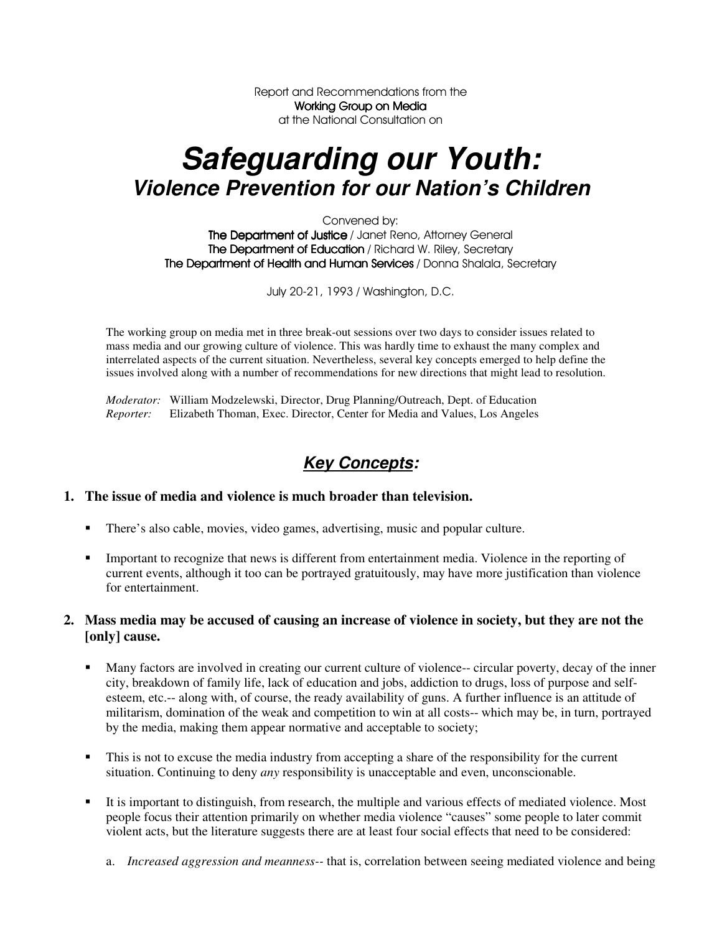Report and Recommendations from the Working Group on Media at the National Consultation on

# *Safeguarding our Youth: Violence Prevention for our Nation's Children*

Convened by: The Department of Justice / Janet Reno, Attorney General The Department of Education / Richard W. Riley, Secretary The Department of Health and Human Services / Donna Shalala, Secretary

July 20-21, 1993 / Washington, D.C.

The working group on media met in three break-out sessions over two days to consider issues related to mass media and our growing culture of violence. This was hardly time to exhaust the many complex and interrelated aspects of the current situation. Nevertheless, several key concepts emerged to help define the issues involved along with a number of recommendations for new directions that might lead to resolution.

*Moderator:* William Modzelewski, Director, Drug Planning/Outreach, Dept. of Education *Reporter:* Elizabeth Thoman, Exec. Director, Center for Media and Values, Los Angeles

### *Key Concepts:*

### **1. The issue of media and violence is much broader than television.**

- There's also cable, movies, video games, advertising, music and popular culture.
- Important to recognize that news is different from entertainment media. Violence in the reporting of current events, although it too can be portrayed gratuitously, may have more justification than violence for entertainment.

### 2. Mass media may be accused of causing an increase of violence in society, but they are not the **[only] cause.**

- Many factors are involved in creating our current culture of violence-- circular poverty, decay of the inner city, breakdown of family life, lack of education and jobs, addiction to drugs, loss of purpose and selfesteem, etc.-- along with, of course, the ready availability of guns. A further influence is an attitude of militarism, domination of the weak and competition to win at all costs-- which may be, in turn, portrayed by the media, making them appear normative and acceptable to society;
- This is not to excuse the media industry from accepting a share of the responsibility for the current situation. Continuing to deny *any* responsibility is unacceptable and even, unconscionable.
- It is important to distinguish, from research, the multiple and various effects of mediated violence. Most people focus their attention primarily on whether media violence "causes" some people to later commit violent acts, but the literature suggests there are at least four social effects that need to be considered:
	- a. *Increased aggression and meanness--* that is, correlation between seeing mediated violence and being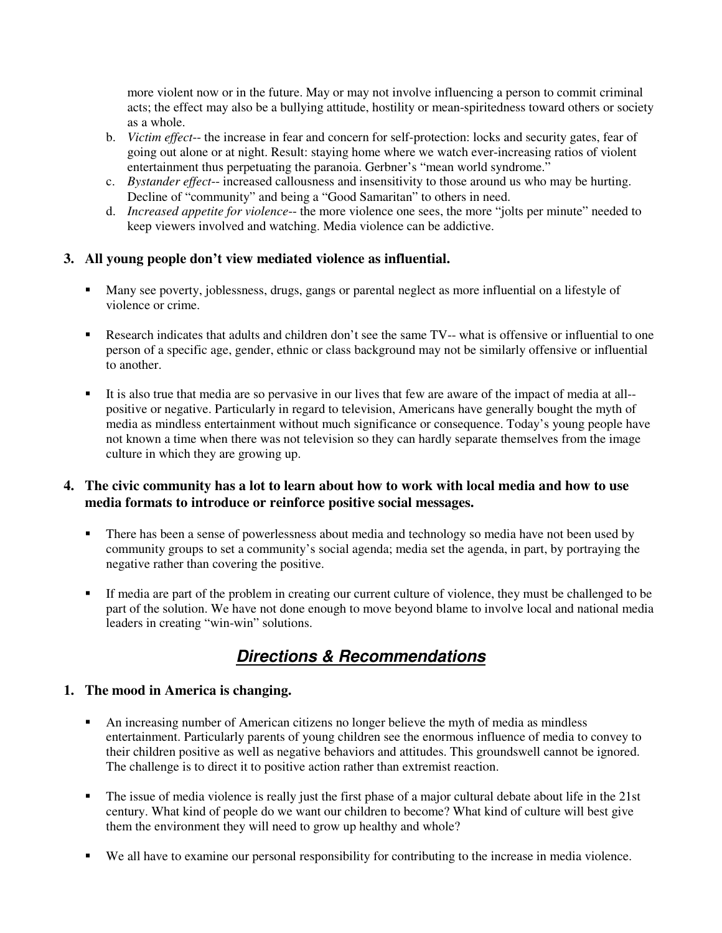more violent now or in the future. May or may not involve influencing a person to commit criminal acts; the effect may also be a bullying attitude, hostility or mean-spiritedness toward others or society as a whole.

- b. *Victim effect*-- the increase in fear and concern for self-protection: locks and security gates, fear of going out alone or at night. Result: staying home where we watch ever-increasing ratios of violent entertainment thus perpetuating the paranoia. Gerbner's "mean world syndrome."
- c. *Bystander effect*-- increased callousness and insensitivity to those around us who may be hurting. Decline of "community" and being a "Good Samaritan" to others in need.
- d. *Increased appetite for violence*-- the more violence one sees, the more "jolts per minute" needed to keep viewers involved and watching. Media violence can be addictive.

### **3. All young people don't view mediated violence as influential.**

- Many see poverty, joblessness, drugs, gangs or parental neglect as more influential on a lifestyle of violence or crime.
- Research indicates that adults and children don't see the same TV-- what is offensive or influential to one person of a specific age, gender, ethnic or class background may not be similarly offensive or influential to another.
- It is also true that media are so pervasive in our lives that few are aware of the impact of media at all- positive or negative. Particularly in regard to television, Americans have generally bought the myth of media as mindless entertainment without much significance or consequence. Today's young people have not known a time when there was not television so they can hardly separate themselves from the image culture in which they are growing up.

### 4. The civic community has a lot to learn about how to work with local media and how to use **media formats to introduce or reinforce positive social messages.**

- There has been a sense of powerlessness about media and technology so media have not been used by community groups to set a community's social agenda; media set the agenda, in part, by portraying the negative rather than covering the positive.
- If media are part of the problem in creating our current culture of violence, they must be challenged to be part of the solution. We have not done enough to move beyond blame to involve local and national media leaders in creating "win-win" solutions.

## *Directions & Recommendations*

### **1. The mood in America is changing.**

- An increasing number of American citizens no longer believe the myth of media as mindless entertainment. Particularly parents of young children see the enormous influence of media to convey to their children positive as well as negative behaviors and attitudes. This groundswell cannot be ignored. The challenge is to direct it to positive action rather than extremist reaction.
- The issue of media violence is really just the first phase of a major cultural debate about life in the 21st century. What kind of people do we want our children to become? What kind of culture will best give them the environment they will need to grow up healthy and whole?
- We all have to examine our personal responsibility for contributing to the increase in media violence.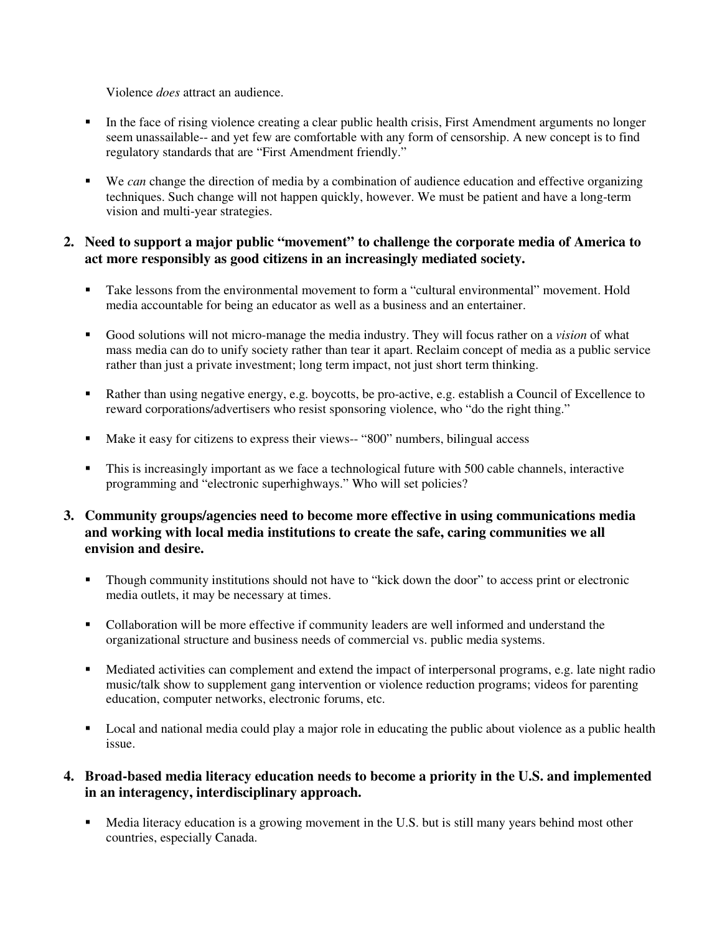Violence *does* attract an audience.

- In the face of rising violence creating a clear public health crisis, First Amendment arguments no longer seem unassailable-- and yet few are comfortable with any form of censorship. A new concept is to find regulatory standards that are "First Amendment friendly."
- We *can* change the direction of media by a combination of audience education and effective organizing techniques. Such change will not happen quickly, however. We must be patient and have a long-term vision and multi-year strategies.

### **2. Need to support a major public "movement" to challenge the corporate media of America to act more responsibly as good citizens in an increasingly mediated society.**

- Take lessons from the environmental movement to form a "cultural environmental" movement. Hold media accountable for being an educator as well as a business and an entertainer.
- Good solutions will not micro-manage the media industry. They will focus rather on a *vision* of what mass media can do to unify society rather than tear it apart. Reclaim concept of media as a public service rather than just a private investment; long term impact, not just short term thinking.
- Rather than using negative energy, e.g. boycotts, be pro-active, e.g. establish a Council of Excellence to reward corporations/advertisers who resist sponsoring violence, who "do the right thing."
- Make it easy for citizens to express their views-- "800" numbers, bilingual access
- This is increasingly important as we face a technological future with 500 cable channels, interactive programming and "electronic superhighways." Who will set policies?
- **3. Community groups/agencies need to become more effective in using communications media and working with local media institutions to create the safe, caring communities we all envision and desire.**
	- Though community institutions should not have to "kick down the door" to access print or electronic media outlets, it may be necessary at times.
	- Collaboration will be more effective if community leaders are well informed and understand the organizational structure and business needs of commercial vs. public media systems.
	- Mediated activities can complement and extend the impact of interpersonal programs, e.g. late night radio music/talk show to supplement gang intervention or violence reduction programs; videos for parenting education, computer networks, electronic forums, etc.
	- **Local and national media could play a major role in educating the public about violence as a public health** issue.

### **4. Broad-based media literacy education needs to become a priority in the U.S. and implemented in an interagency, interdisciplinary approach.**

• Media literacy education is a growing movement in the U.S. but is still many years behind most other countries, especially Canada.